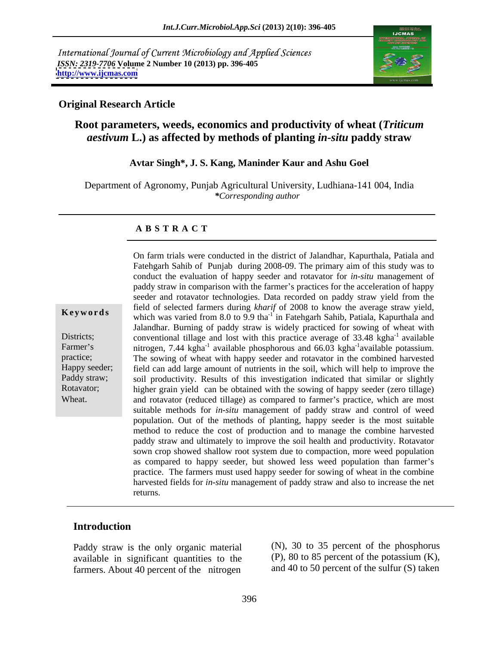International Journal of Current Microbiology and Applied Sciences *ISSN: 2319-7706* **Volume 2 Number 10 (2013) pp. 396-405 <http://www.ijcmas.com>**



### **Original Research Article**

## **Root parameters, weeds, economics and productivity of wheat (***Triticum aestivum* **L.) as affected by methods of planting** *in-situ* **paddy straw**

### **Avtar Singh\*, J. S. Kang, Maninder Kaur and Ashu Goel**

Department of Agronomy, Punjab Agricultural University, Ludhiana-141 004, India *\*Corresponding author*

### **A B S T R A C T**

**Keywords** which was varied from 8.0 to 9.9 tha<sup>-1</sup> in Fatehgarh Sahib, Patiala, Kapurthala and Districts; conventional tillage and lost with this practice average of 33.48 kgha<sup>-1</sup> available Farmer's nitrogen, 7.44 kgha<sup>-1</sup> available phosphorous and 66.03 kgha<sup>-1</sup>available potassium. practice; The sowing of wheat with happy seeder and rotavator in the combined harvested Happy seeder; field can add large amount of nutrients in the soil, which will help to improve the soil productivity. Results of this investigation indicated that similar or slightly Rotavator; higher grain yield can be obtained with the sowing of happy seeder (zero tillage) On farm trials were conducted in the district of Jalandhar, Kapurthala, Patiala and<br>Fatehgarh Sahib of Punjab during 2008-09. The primary aim of this study was to<br>conduct the evaluation of happy seeder and rotavator for Fatehgarh Sahib of Punjab during 2008-09. The primary aim of this study was to conduct the evaluation of happy seeder and rotavator for *in-situ* management of paddy straw in comparison with the farmer's practices for the acceleration of happy seeder and rotavator technologies. Data recorded on paddy straw yield from the field of selected farmers during *kharif* of 2008 to know the average straw yield, Jalandhar. Burning of paddy straw is widely practiced for sowing of wheat with  $^{-1}$  available  $^{-1}$ <sub>aveila</sub> ha notessium available potassium. soil productivity. Results of this investigation indicated that similar or slightly and rotavator (reduced tillage) as compared to farmer's practice, which are most suitable methods for *in-situ* management of paddy straw and control of weed population. Out of the methods of planting, happy seeder is the most suitable method to reduce the cost of production and to manage the combine harvested paddy straw and ultimately to improve the soil health and productivity. Rotavator sown crop showed shallow root system due to compaction, more weed population as compared to happy seeder, but showed less weed population than farmer's practice. The farmers must used happy seeder for sowing of wheat in the combine harvested fields for *in-situ* management of paddy straw and also to increase the net returns.

### **Introduction**

Paddy straw is the only organic material available in significant quantities to the farmers. About 40 percent of the nitrogen

(N), 30 to 35 percent of the phosphorus (P), 80 to 85 percent of the potassium (K), and 40 to 50 percent of the sulfur (S) taken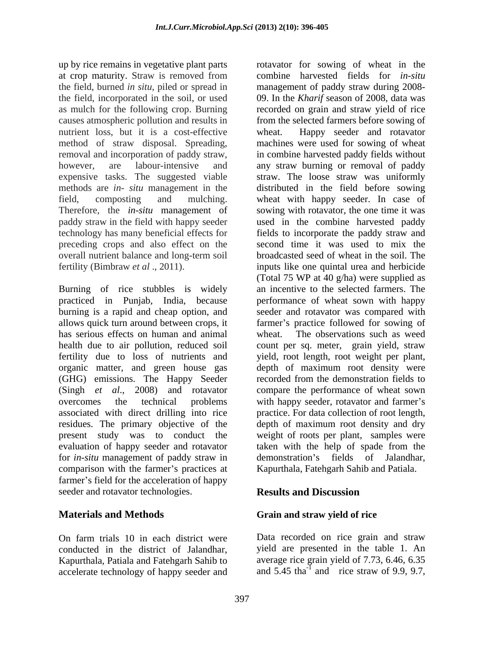up by rice remains in vegetative plant parts rotavator for sowing of wheat in the nutrient loss, but it is a cost-effective wheat. methods are *in- situ* management in the preceding crops and also effect on the overall nutrient balance and long-term soil

Burning of rice stubbles is widely practiced in Punjab, India, because performance of wheat sown with happy burning is a rapid and cheap option, and seeder and rotavator was compared with allows quick turn around between crops, it farmer's practice followed for sowing of has serious effects on human and animal wheat. health due to air pollution, reduced soil count per sq. meter, grain yield, straw fertility due to loss of nutrients and yield, root length, root weight per plant, organic matter, and green house gas depth of maximum root density were (GHG) emissions. The Happy Seeder (Singh *et al*., 2008) and rotavator compare the performance of wheat sown overcomes the technical problems with happy seeder, rotavator and farmer's associated with direct drilling into rice practice. For data collection of root length, residues. The primary objective of the depth of maximum root density and dry present study was to conduct the weight of roots per plant, samples were evaluation of happy seeder and rotavator for *in-situ* management of paddy straw in demonstration's fields of Jalandhar, comparison with the farmer's practices at farmer's field for the acceleration of happy seeder and rotavator technologies. **Results and Discussion** 

accelerate technology of happy seeder and

at crop maturity. Straw is removed from combine harvested fields for *in-situ* the field, burned *in situ*, piled or spread in management of paddy straw during 2008 the field, incorporated in the soil, or used 09. In the *Kharif* season of 2008, data was as mulch for the following crop. Burning recorded on grain and straw yield of rice causes atmospheric pollution and results in from the selected farmers before sowing of method of straw disposal. Spreading, machines were used for sowing of wheat removal and incorporation of paddy straw, in combine harvested paddy fields without however, are labour-intensive and any straw burning or removal of paddy expensive tasks. The suggested viable straw. The loose straw was uniformly field, composting and mulching. wheat with happy seeder. In case of Therefore, the *in-situ* management of sowing with rotavator, the one time it was paddy straw in the field with happy seeder used in the combine harvested paddy technology has many beneficial effects for fields to incorporate the paddy straw and fertility (Bimbraw *et al* ., 2011). inputs like one quintal urea and herbicide combine harvested fields for *in-situ* Happy seeder and rotavator distributed in the field before sowing second time it was used to mix the broadcasted seed of wheat in the soil. The (Total 75 WP at 40 g/ha) were supplied as an incentive to the selected farmers. The The observations such as weed recorded from the demonstration fields to taken with the help of spade from the demonstration's fields of Jalandhar, Kapurthala, Fatehgarh Sahib and Patiala.

# **Results and Discussion**

# **Materials and Methods Grain and straw yield of rice**

On farm trials 10 in each district were Data recorded on rice grain and straw conducted in the district of Jalandhar, yield are presented in the table 1. An Kapurthala, Patiala and Fatehgarh Sahib to average rice grain yield of 7.73, 6.46, 6.35 and  $5.45$  tha<sup>-1</sup> and rice straw of 9.9, 9.7, and rice straw of 9.9, 9.7,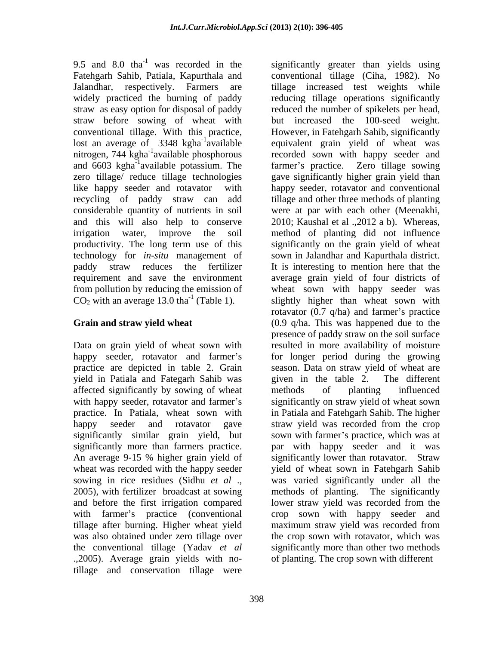9.5 and 8.0  $\text{tha}^{-1}$  was recorded in the straw before sowing of wheat with nitrogen, 744 kgha $^{-1}$ available phosphorous recycling of paddy straw can add considerable quantity of nutrients in soil

yield in Patiala and Fategarh Sahib was affected significantly by sowing of wheat methods of planting influenced An average 9-15 % higher grain yield of and before the first irrigation compared lower straw yield was recorded from the tillage after burning. Higher wheat yield maximum straw yield was recorded from .,2005). Average grain yields with notillage and conservation tillage were

was recorded in the significantly greater than yields using Fatehgarh Sahib, Patiala, Kapurthala and conventional tillage (Ciha, 1982). No Jalandhar, respectively. Farmers are tillage increased test weights while widely practiced the burning of paddy reducing tillage operations significantly straw as easy option for disposal of paddy reduced the number of spikelets per head, conventional tillage. With this practice, However, in Fatehgarh Sahib, significantly lost an average of 3348 kgha<sup>-1</sup>available equivalent grain yield of wheat was available phosphorous recorded sown with happy seeder and and 6603 kgha<sup>-1</sup>available potassium. The farmer's practice. Zero tillage sowing zero tillage/ reduce tillage technologies gave significantly higher grain yield than like happy seeder and rotavator with happy seeder, rotavator and conventional and this will also help to conserve 2010; Kaushal et al .,2012 a b). Whereas, irrigation water, improve the soil method of planting did not influence productivity. The long term use of this significantly on the grain yield of wheat technology for *in-situ* management of sown in Jalandhar and Kapurthala district. paddy straw reduces the fertilizer It is interesting to mention here that the requirement and save the environment average grain yield of four districts of from pollution by reducing the emission of wheat sown with happy seeder was  $CO<sub>2</sub>$  with an average 13.0 tha<sup>-1</sup> (Table 1). Slightly higher than wheat sown with Grain and straw yield wheat (0.9 q/ha. This was happened due to the Data on grain yield of wheat sown with resulted in more availability of moisture happy seeder, rotavator and farmer's for longer period during the growing practice are depicted in table 2. Grain season. Data on straw yield of wheat are with happy seeder, rotavator and farmer's significantly on straw yield of wheat sown practice. In Patiala, wheat sown with in Patiala and Fatehgarh Sahib. The higher happy seeder and rotavator gave straw yield was recorded from the crop significantly similar grain yield, but sown with farmer's practice, which was at significantly more than farmers practice. par with happy seeder and it was wheat was recorded with the happy seeder yield of wheat sown in Fatehgarh Sahib sowing in rice residues (Sidhu *et al* ., was varied significantly under all the 2005), with fertilizer broadcast at sowing methods of planting. The significantly with farmer's practice (conventional crop sown with happy seeder and was also obtained under zero tillage over the crop sown with rotavator, which was the conventional tillage (Yadav *et al* significantly more than other two methods but increased the 100-seed weight. tillage and other three methods of planting were at par with each other (Meenakhi, rotavator  $(0.7 \text{ q/ha})$  and farmer's practice presence of paddy straw on the soil surface given in the table 2. The different methods of planting influenced significantly lower than rotavator. Straw lower straw yield was recorded from the maximum straw yield was recorded from of planting. The crop sown with different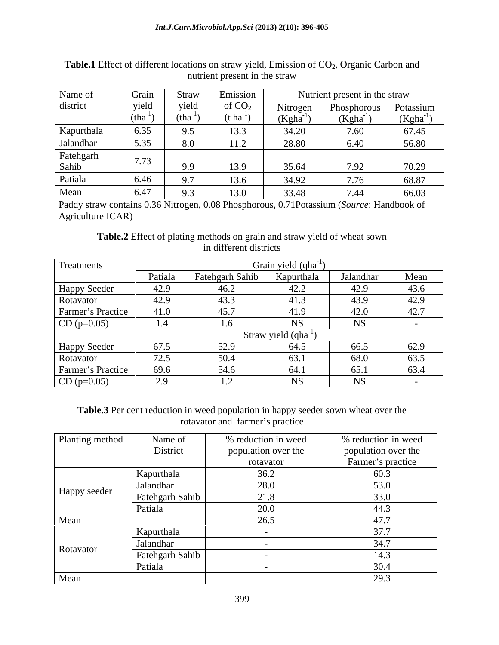| Name of    | Grain | Straw                    | <b>Emission</b>   |                  | Nutrient present in the straw |                |
|------------|-------|--------------------------|-------------------|------------------|-------------------------------|----------------|
| district   | yield | yielu                    |                   | Nitroge          | Phosphorous                   | Potassium      |
|            | Jula  | $1$ tho<br>$\mu$ .       | $\mu$ $\mu$       | (Kgr             | (Kgha                         | Kgha           |
| Kapurthala | 6.35  |                          |                   | 34.20            | 7 C Q<br>1.00 <sub>1</sub>    | 67.45          |
| Jalandhar  | 5.35  | 8.O                      |                   | 28.80            | 6.40                          | 56.80          |
| Fatehgarh  | 772   |                          |                   |                  |                               |                |
| Sahib      | 1.13  |                          | 12C               | 3564<br>- JJ . J | 7.02                          | 70.20<br>10.25 |
| Patiala    |       |                          | 13.6              | 34.72            | $\pi$ $\pi$<br>1.76           | 68.87          |
| Mean       |       | $\overline{\phantom{a}}$ | 13 0<br>$\ddotsc$ | 33.48            | $7\;44$                       | 66.03          |

**Table.1** Effect of different locations on straw yield, Emission of CO<sub>2</sub>, Organic Carbon and nutrient present in the straw nutrient present in the straw

Paddy straw contains 0.36 Nitrogen, 0.08 Phosphorous, 0.71Potassium (*Source*: Handbook of Agriculture ICAR)

**Table.2** Effect of plating methods on grain and straw yield of wheat sown in different districts in different districts

| Treatments        |         |                 | Grain yield (qha         |           |      |
|-------------------|---------|-----------------|--------------------------|-----------|------|
|                   | Patiala | Fatehgarh Sahib | Kapurthala               | Jalandhar | Mean |
| Happy Seeder      | 42.9    | 46.2            | 42.2                     | 42.9      | 43.6 |
| Rotavator         | 42.9    | 43.3            | 41.3                     | 43.9      | 42.9 |
| Farmer's Practice | 41.0    | 45.7            | 41.9                     | 42.0      | 42.7 |
| $CD (p=0.05)$     | 4.4     | 1.6             |                          | <b>NS</b> |      |
|                   |         |                 | Straw yield $(qha^{-1})$ |           |      |
| Happy Seeder      | 67.5    | 52.9            | 64.5                     | 66.5      | 62.9 |
| Rotavator         | 72.5    | 50.4            | 63.1                     | 68.0      | 63.5 |
| Farmer's Practice | 69.6    | 54.6            | 64.1                     | 65.1      | 63.4 |
| $CD (p=0.05)$     | 2.9     |                 |                          | <b>NS</b> |      |

**Table.3** Per cent reduction in weed population in happy seeder sown wheat over the rotavator and farmer's practice

| Planting method | Name of         | % reduction in weed | % reduction in weed |
|-----------------|-----------------|---------------------|---------------------|
|                 | District        | population over the | population over the |
|                 |                 | rotavator           | Farmer's practice   |
|                 | Kapurthala      | 36.2                | 60.3                |
|                 | Jalandhar       | 28.0                | 53.0                |
| Happy seeder    | Fatehgarh Sahib | 21.8                | 33.0                |
|                 | Patiala         | 20.0                | 44.3                |
| Mean            |                 | 26.5                | 47.7                |
|                 | Kapurthala      |                     | 37.7                |
|                 | Jalandhar       |                     | 34.7                |
| Rotavator       | Fatehgarh Sahib |                     | 14.3                |
|                 | Patiala         |                     | 30.4                |
| Mean            |                 |                     | 29.3                |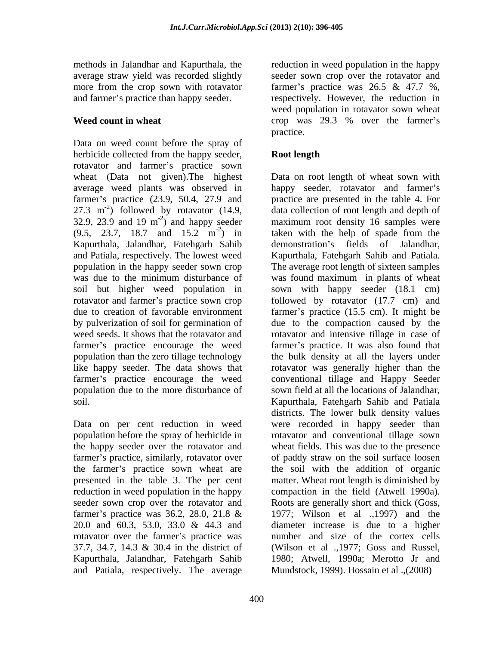Data on weed count before the spray of herbicide collected from the happy seeder, **Root length** rotavator and farmer's practice sown farmer's practice (23.9, 50.4, 27.9 and 27.3 m<sup>-2</sup>) followed by rotavator (14.9, 32.9, 23.9 and 19 m<sup>-2</sup>) and happy seeder Kapurthala, Jalandhar, Fatehgarh Sahib

rotavator over the farmer's practice was and Patiala, respectively. The average

methods in Jalandhar and Kapurthala, the reduction in weed population in the happy average straw yield was recorded slightly seeder sown crop over the rotavator and more from the crop sown with rotavator farmer's practice was  $26.5 \& 47.7 \%$ , and farmer's practice than happy seeder. respectively. However, the reduction in **Weed count in wheat crop** was 29.3 % over the farmer's weed population in rotavator sown wheat practice.

## **Root length**

wheat (Data not given).The highest Data on root length of wheat sown with average weed plants was observed in happy seeder, rotavator and farmer's  $e^{-2}$ ) followed by rotavator (14.9, data collection of root length and depth of 32.9, 23.9 and 19 m<sup>-2</sup>) and happy seeder maximum root density 16 samples were  $(9.5, 23.7, 18.7 \text{ and } 15.2 \text{ m}^2)$  in taken with the help of spade from the and Patiala, respectively. The lowest weed Kapurthala, Fatehgarh Sahib and Patiala. population in the happy seeder sown crop The average root length of sixteen samples was due to the minimum disturbance of was found maximum in plants of wheat soil but higher weed population in sown with happy seeder (18.1 cm) rotavator and farmer's practice sown crop followed by rotavator (17.7 cm) and due to creation of favorable environment farmer's practice (15.5 cm). It might be by pulverization of soil for germination of due to the compaction caused by the weed seeds. It shows that the rotavator and rotavator and intensive tillage in case of farmer's practice encourage the weed farmer's practice. It was also found that population than the zero tillage technology the bulk density at all the layers under like happy seeder. The data shows that rotavator was generally higher than the farmer's practice encourage the weed conventional tillage and Happy Seeder population due to the more disturbance of sown field at all the locations of Jalandhar, soil. Kapurthala, Fatehgarh Sahib and Patiala Data on per cent reduction in weed were recorded in happy seeder than population before the spray of herbicide in rotavator and conventional tillage sown the happy seeder over the rotavator and wheat fields. This was due to the presence farmer's practice, similarly, rotavator over of paddy straw on the soil surface loosen the farmer's practice sown wheat are the soil with the addition of organic presented in the table 3. The per cent matter. Wheat root length is diminished by reduction in weed population in the happy compaction in the field (Atwell 1990a). seeder sown crop over the rotavator and Roots are generally short and thick (Goss, farmer's practice was 36.2, 28.0, 21.8 & 1977; Wilson et al .,1997) and the 20.0 and 60.3, 53.0, 33.0 & 44.3 and diameter increase is due to a higher 37.7, 34.7, 14.3 & 30.4 in the district of (Wilson et al .,1977; Goss and Russel, Kapurthala, Jalandhar, Fatehgarh Sahib 1980; Atwell, 1990a; Merotto Jr and practice are presented in the table 4. For demonstration's fields of Jalandhar, districts. The lower bulk density values number and size of the cortex cells Mundstock, 1999). Hossain et al .,(2008)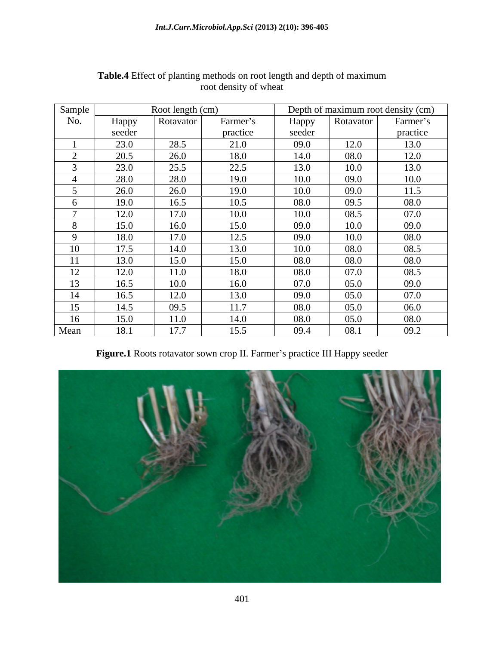| Sample         |        | Root length (cm) |          |        |           | Depth of maximum root density (cm) |
|----------------|--------|------------------|----------|--------|-----------|------------------------------------|
| No.            | Happy  | Rotavator        | Farmer's | Happy  | Rotavator | Farmer's                           |
|                | seeder |                  | practice | seeder |           | practice                           |
|                | 23.0   | 28.5             | 21.0     | 09.0   | 12.0      | 13.0                               |
| $\sim$         | 20.5   | 26.0             | 18.0     | 14.0   | 08.0      | 12.0                               |
|                | 23.0   | 25.5             | 22.5     | 13.0   | 10.0      | 13.0                               |
|                | 28.0   | 28.0             | 19.0     | 10.0   | 09.0      | 10.0                               |
|                | 26.0   | 26.0             | 19.0     | 10.0   | 09.0      | 11.5                               |
| $\sigma$       | 19.0   | 16.5             | 10.5     | 08.0   | 09.5      | 08.0                               |
| $\overline{a}$ | 12.0   | 17.0             | 10.0     | 10.0   | 08.5      | 07.0                               |
| 8              | 15.0   | 16.0             | 15.0     | 09.0   | 10.0      | 09.0                               |
| $\Omega$       | 18.0   | 17.0             | 12.5     | 09.0   | 10.0      | 08.0                               |
| 10             | 17.5   | 14.0             | 13.0     | 10.0   | 08.0      | 08.5                               |
| 11             | 13.0   | 15.0             | 15.0     | 08.0   | 08.0      | 08.0                               |
| 12             | 12.0   | 11.0             | 18.0     | 08.0   | 07.0      | 08.5                               |
| 13             | 16.5   | 10.0             | 16.0     | 07.0   | 05.0      | 09.0                               |
| 14             | 16.5   | 12.0             | 13.0     | 09.0   | 05.0      | 07.0                               |
| 15             | 14.5   | 09.5             | 11.7     | 08.0   | 05.0      | 06.0                               |
| 16             | 15.0   | 11.0             | 14.0     | 08.0   | 05.0      | 08.0                               |
| Mean           | 18.1   | 17.7             | 15.5     | 09.4   | 08.1      | 09.2                               |

### **Table.4** Effect of planting methods on root length and depth of maximum root density of wheat

Figure.1 Roots rotavator sown crop II. Farmer's practice III Happy seeder

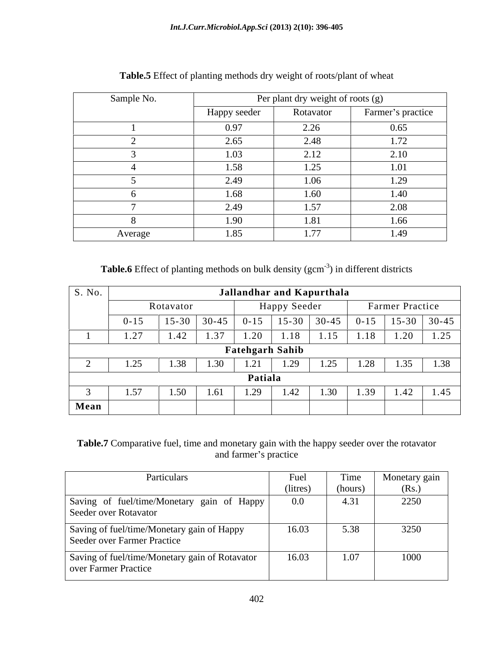| Sample No. |              | Per plant dry weight of roots (g) |                   |
|------------|--------------|-----------------------------------|-------------------|
|            | Happy seeder | Rotavator                         | Farmer's practice |
|            | 0.97         | 2.26                              | 0.65              |
|            | 2.65         | 2.48                              | 1.72              |
|            | 1.03         | 2.12                              | 2.10              |
|            | 1.58         | 1.25                              | 1.01              |
|            | 2.49         | 1.06                              | 1.29              |
|            | 1.68         | 1.60                              | 1.40              |
|            | 2.49         | 1.57                              | 2.08              |
|            | 1.90         | 1.81                              | 1.66              |
| Average    | 1.85         | 1.77                              | 1.49              |

**Table.5** Effect of planting methods dry weight of roots/plant of wheat

**Table.6** Effect of planting methods on bulk density (gcm<sup>-3</sup>) in different districts

| S. No. | Jallandhar and Kapurthala                           |           |           |                        |                  |           |          |                    |           |
|--------|-----------------------------------------------------|-----------|-----------|------------------------|------------------|-----------|----------|--------------------|-----------|
|        | <b>Happy Seeder</b><br>Farmer Practice<br>Rotavator |           |           |                        |                  |           |          |                    |           |
|        | $0 - 15$                                            | $15 - 30$ | $30 - 45$ | $0 - 15$               | $15 - 30$        | $30 - 45$ | $0 - 15$ | $15 - 30$          | $30 - 45$ |
|        | 1.27                                                | 1.42      | 1.37      | 1.20                   | 1.18             | 1.15      | 1.18     | $\sqrt{2}$<br>1.20 | 1.25      |
|        |                                                     |           |           | <b>Fatehgarh Sahib</b> |                  |           |          |                    |           |
|        | 1.25                                                | 1.38      | 1.30      | 1.21                   | $\Delta$<br>1.ZJ | 1.25      | 1.28     | 1.35               | 1.38      |
|        | Patiala                                             |           |           |                        |                  |           |          |                    |           |
|        | 1.57                                                | 1.50      | 1.61      | 1.29                   | 1.42             | 1.30      | 1.39     | 1.42               | 1.45      |
| Mean   |                                                     |           |           |                        |                  |           |          |                    |           |

## **Table.7** Comparative fuel, time and monetary gain with the happy seeder over the rotavator and farmer's practice and farmer's practice states of the state of the states of the states of the states of the states of the states of the states of the states of the states of the states of the states of the states of the states of the state

| Particulars                                                               | Fuel     | Time    | Monetary gain |
|---------------------------------------------------------------------------|----------|---------|---------------|
|                                                                           | (litres) | (hours) | (Rs.)         |
| Saving of fuel/time/Monetary gain of Happy                                | $0.0\,$  | 4.31    | 2250          |
| Seeder over Rotavator                                                     |          |         |               |
| Saving of fuel/time/Monetary gain of Happy<br>Seeder over Farmer Practice | 16.03    | 5.38    | 3250          |
| Saving of fuel/time/Monetary gain of Rotavator<br>over Farmer Practice    | 16.03    | 1.07    | 1000          |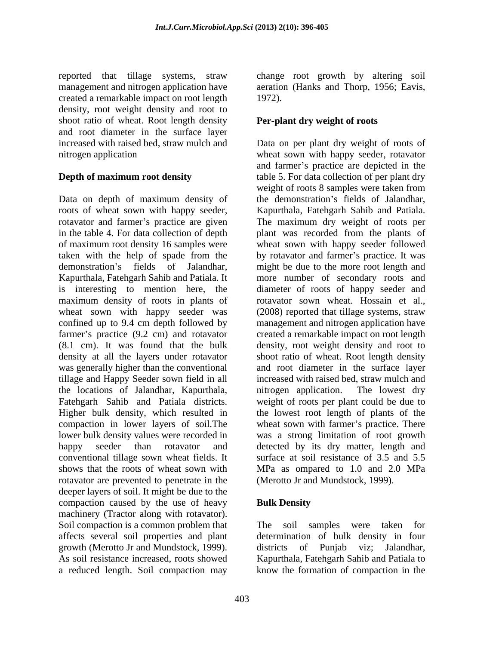reported that tillage systems, straw change root growth by altering soil management and nitrogen application have created a remarkable impact on root length density, root weight density and root to shoot ratio of wheat. Root length density and root diameter in the surface layer

Data on depth of maximum density of the demonstration's fields of Jalandhar, roots of wheat sown with happy seeder, Kapurthala, Fatehgarh Sahib and Patiala. rotavator and farmer's practice are given The maximum dry weight of roots per in the table 4. For data collection of depth plant was recorded from the plants of of maximum root density 16 samples were wheat sown with happy seeder followed taken with the help of spade from the by rotavator and farmer's practice. It was demonstration's fields of Jalandhar, might be due to the more root length and Kapurthala, Fatehgarh Sahib and Patiala. It more number of secondary roots and is interesting to mention here, the diameter of roots of happy seeder and maximum density of roots in plants of rotavator sown wheat. Hossain et al., wheat sown with happy seeder was confined up to 9.4 cm depth followed by management and nitrogen application have farmer's practice (9.2 cm) and rotavator (8.1 cm). It was found that the bulk density, root weight density and root to density at all the layers under rotavator shoot ratio of wheat. Root length density was generally higher than the conventional and root diameter in the surface layer tillage and Happy Seeder sown field in all the locations of Jalandhar, Kapurthala, Fatehgarh Sahib and Patiala districts. Higher bulk density, which resulted in the lowest root length of plants of the compaction in lower layers of soil. The wheat sown with farmer's practice. There lower bulk density values were recorded in was a strong limitation of root growth happy seeder than rotavator and detected by its dry matter, length and conventional tillage sown wheat fields. It surface at soil resistance of 3.5 and 5.5 shows that the roots of wheat sown with MPa as ompared to 1.0 and 2.0 MPa rotavator are prevented to penetrate in the deeper layers of soil. It might be due to the compaction caused by the use of heavy **Bulk Density** machinery (Tractor along with rotavator).<br>Soil compaction is a common problem that Soil compaction is a common problem that The soil samples were taken for affects several soil properties and plant growth (Merotto Jr and Mundstock, 1999). As soil resistance increased, roots showed Kapurthala, Fatehgarh Sahib and Patiala to

aeration (Hanks and Thorp, 1956; Eavis, 1972).

### **Per-plant dry weight of roots**

increased with raised bed, straw mulch and Data on per plant dry weight of roots of nitrogen application wheat sown with happy seeder, rotavator **Depth of maximum root density** table 5. For data collection of per plant dry and farmer's practice are depicted in the weight of roots 8 samples were taken from the demonstration's fields of Jalandhar, (2008) reported that tillage systems, straw created a remarkable impact on root length increased with raised bed, straw mulch and nitrogen application. The lowest dry weight of roots per plant could be due to (Merotto Jr and Mundstock, 1999).

## **Bulk Density**

a reduced length. Soil compaction may know the formation of compaction in thedetermination of bulk density in four districts of Punjab viz; Jalandhar,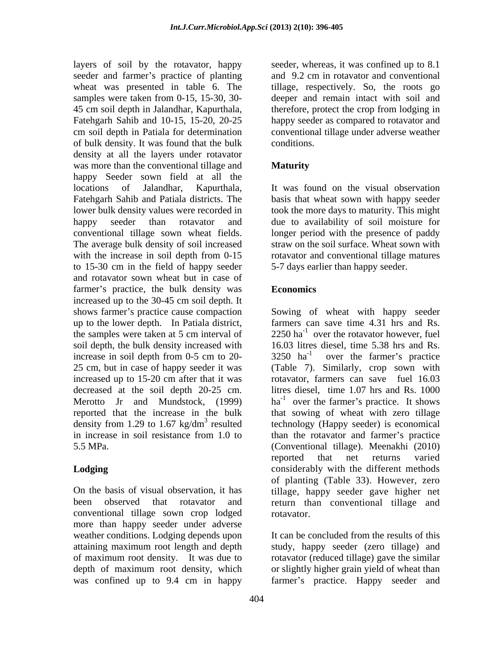layers of soil by the rotavator, happy seeder, whereas, it was confined up to 8.1 seeder and farmer's practice of planting and 9.2 cm in rotavator and conventional wheat was presented in table 6. The tillage, respectively. So, the roots go samples were taken from 0-15, 15-30, 30- deeper and remain intact with soil and 45 cm soil depth in Jalandhar, Kapurthala, Fatehgarh Sahib and 10-15, 15-20, 20-25 happy seeder as compared to rotavator and cm soil depth in Patiala for determination conventional tillage under adverse weather of bulk density. It was found that the bulk density at all the layers under rotavator was more than the conventional tillage and **Maturity** happy Seeder sown field at all the locations of Jalandhar, Kapurthala, It was found on the visual observation Fatehgarh Sahib and Patiala districts. The basis that wheat sown with happy seeder lower bulk density values were recorded in took the more days to maturity. This might happy seeder than rotavator and due to availability of soil moisture for conventional tillage sown wheat fields. longer period with the presence of paddy The average bulk density of soil increased with the increase in soil depth from 0-15 to 15-30 cm in the field of happy seeder and rotavator sown wheat but in case of farmer's practice, the bulk density was **Economics** increased up to the 30-45 cm soil depth. It shows farmer's practice cause compaction Sowing of wheat with happy seeder up to the lower depth. In Patiala district, farmers can save time 4.31 hrs and Rs. the samples were taken at 5 cm interval of  $2250 \text{ ha}^{-1}$  over the rotavator however, fuel soil depth, the bulk density increased with 16.03 litres diesel, time 5.38 hrs and Rs. increase in soil depth from 0-5 cm to 20-  $3250 \text{ ha}^{-1}$ 25 cm, but in case of happy seeder it was (Table 7). Similarly, crop sown with increased up to 15-20 cm after that it was rotavator, farmers can save fuel 16.03 decreased at the soil depth 20-25 cm. litres diesel, time 1.07 hrs and Rs. 1000 Merotto Jr and Mundstock, (1999)  $ha^{-1}$  over the farmer's practice. It shows reported that the increase in the bulk that sowing of wheat with zero tillage density from 1.29 to 1.67 kg/dm<sup>3</sup> resulted technology (Happy seeder) is economical in increase in soil resistance from 1.0 to than the rotavator and farmer's practice 5.5 MPa. (Conventional tillage). Meenakhi (2010)

conventional tillage sown crop lodged more than happy seeder under adverse weather conditions. Lodging depends upon It can be concluded from the results of this attaining maximum root length and depth study, happy seeder (zero tillage) and of maximum root density. It was due to rotavator(reduced tillage) gave the similar depth of maximum root density, which or slightly higher grain yield of wheat than

and 9.2 cm in rotavator and conventional therefore, protect the crop from lodging in conditions.

## **Maturity**

straw on the soil surface. Wheat sown with rotavator and conventional tillage matures 5-7 days earlier than happy seeder.

## **Economics**

**Lodging Considerably** with the different methods On the basis of visual observation, it has tillage, happy seeder gave higher net been observed that rotavator and return than conventional tillage and  $3250$  ha<sup>-1</sup> over the farmer's practice over the farmer's practice reported that net returns varied of planting (Table 33). However,zero rotavator.

was confined up to 9.4 cm in happy farmer's practice. Happy seeder and It can be concluded from the results of this